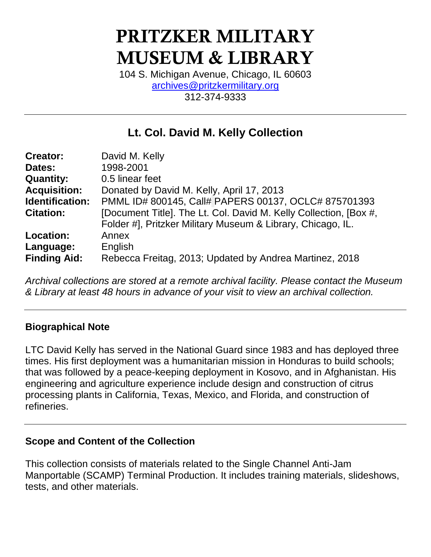# PRITZKER MILITARY MUSEUM & LIBRARY

104 S. Michigan Avenue, Chicago, IL 60603 [archives@pritzkermilitary.org](mailto:archives@pritzkermilitary.org) 312-374-9333

# **Lt. Col. David M. Kelly Collection**

| <b>Creator:</b>        | David M. Kelly                                                    |
|------------------------|-------------------------------------------------------------------|
| Dates:                 | 1998-2001                                                         |
| <b>Quantity:</b>       | 0.5 linear feet                                                   |
| <b>Acquisition:</b>    | Donated by David M. Kelly, April 17, 2013                         |
| <b>Identification:</b> | PMML ID# 800145, Call# PAPERS 00137, OCLC# 875701393              |
| <b>Citation:</b>       | [Document Title]. The Lt. Col. David M. Kelly Collection, [Box #, |
|                        | Folder #], Pritzker Military Museum & Library, Chicago, IL.       |
| Location:              | Annex                                                             |
| Language:              | English                                                           |
| <b>Finding Aid:</b>    | Rebecca Freitag, 2013; Updated by Andrea Martinez, 2018           |

*Archival collections are stored at a remote archival facility. Please contact the Museum & Library at least 48 hours in advance of your visit to view an archival collection.*

### **Biographical Note**

LTC David Kelly has served in the National Guard since 1983 and has deployed three times. His first deployment was a humanitarian mission in Honduras to build schools; that was followed by a peace-keeping deployment in Kosovo, and in Afghanistan. His engineering and agriculture experience include design and construction of citrus processing plants in California, Texas, Mexico, and Florida, and construction of refineries.

#### **Scope and Content of the Collection**

This collection consists of materials related to the Single Channel Anti-Jam Manportable (SCAMP) Terminal Production. It includes training materials, slideshows, tests, and other materials.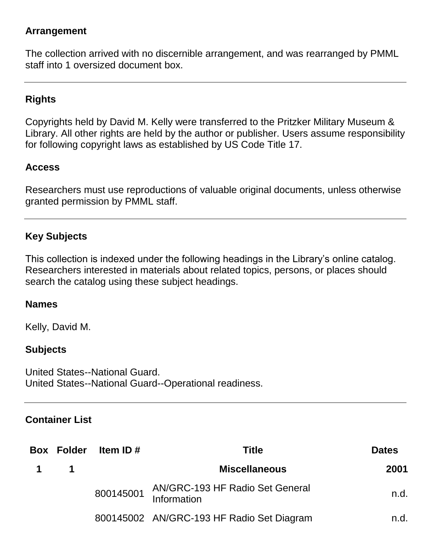#### **Arrangement**

The collection arrived with no discernible arrangement, and was rearranged by PMML staff into 1 oversized document box.

## **Rights**

Copyrights held by David M. Kelly were transferred to the Pritzker Military Museum & Library. All other rights are held by the author or publisher. Users assume responsibility for following copyright laws as established by US Code Title 17.

#### **Access**

Researchers must use reproductions of valuable original documents, unless otherwise granted permission by PMML staff.

#### **Key Subjects**

This collection is indexed under the following headings in the Library's online catalog. Researchers interested in materials about related topics, persons, or places should search the catalog using these subject headings.

#### **Names**

Kelly, David M.

#### **Subjects**

United States--National Guard. United States--National Guard--Operational readiness.

#### **Container List**

|                | <b>Box Folder</b> | Item ID $#$ | <b>Title</b>                                             | <b>Dates</b> |
|----------------|-------------------|-------------|----------------------------------------------------------|--------------|
| $\overline{1}$ |                   |             | <b>Miscellaneous</b>                                     | 2001         |
|                |                   |             | 800145001 AN/GRC-193 HF Radio Set General<br>Information | n.d.         |
|                |                   |             | 800145002 AN/GRC-193 HF Radio Set Diagram                | n.d.         |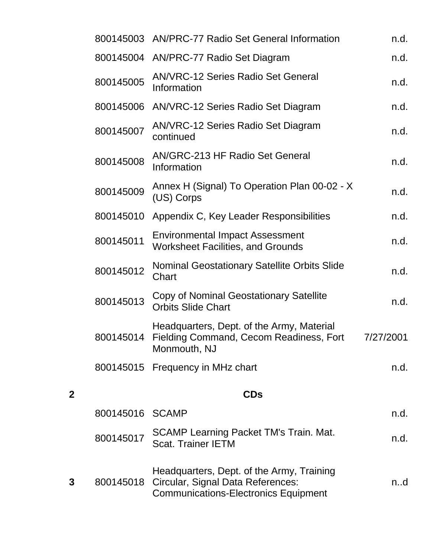|   |                 | 800145003 AN/PRC-77 Radio Set General Information                                                                             | n.d.      |
|---|-----------------|-------------------------------------------------------------------------------------------------------------------------------|-----------|
|   |                 | 800145004 AN/PRC-77 Radio Set Diagram                                                                                         | n.d.      |
|   | 800145005       | <b>AN/VRC-12 Series Radio Set General</b><br>Information                                                                      | n.d.      |
|   |                 | 800145006 AN/VRC-12 Series Radio Set Diagram                                                                                  | n.d.      |
|   | 800145007       | AN/VRC-12 Series Radio Set Diagram<br>continued                                                                               | n.d.      |
|   | 800145008       | <b>AN/GRC-213 HF Radio Set General</b><br>Information                                                                         | n.d.      |
|   | 800145009       | Annex H (Signal) To Operation Plan 00-02 - X<br>(US) Corps                                                                    | n.d.      |
|   | 800145010       | Appendix C, Key Leader Responsibilities                                                                                       | n.d.      |
|   | 800145011       | <b>Environmental Impact Assessment</b><br><b>Worksheet Facilities, and Grounds</b>                                            | n.d.      |
|   | 800145012       | <b>Nominal Geostationary Satellite Orbits Slide</b><br>Chart                                                                  | n.d.      |
|   | 800145013       | Copy of Nominal Geostationary Satellite<br><b>Orbits Slide Chart</b>                                                          | n.d.      |
|   | 800145014       | Headquarters, Dept. of the Army, Material<br>Fielding Command, Cecom Readiness, Fort<br>Monmouth, NJ                          | 7/27/2001 |
|   |                 | 800145015 Frequency in MHz chart                                                                                              | n.d.      |
| 2 |                 | <b>CDs</b>                                                                                                                    |           |
|   | 800145016 SCAMP |                                                                                                                               | n.d.      |
|   |                 |                                                                                                                               |           |
|   | 800145017       | SCAMP Learning Packet TM's Train. Mat.<br><b>Scat. Trainer IETM</b>                                                           | n.d.      |
| 3 | 800145018       | Headquarters, Dept. of the Army, Training<br>Circular, Signal Data References:<br><b>Communications-Electronics Equipment</b> | n.d       |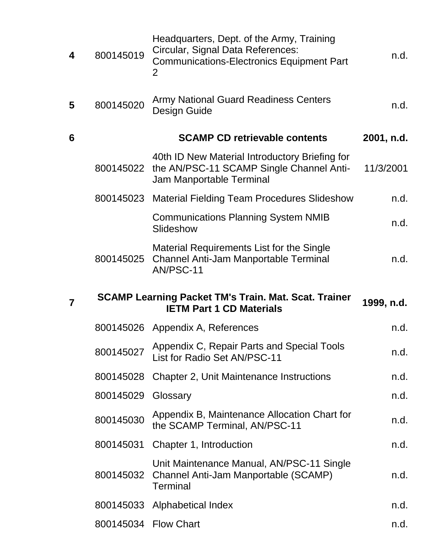| 4 | 800145019 | Headquarters, Dept. of the Army, Training<br>Circular, Signal Data References:<br><b>Communications-Electronics Equipment Part</b><br>2 | n.d.       |
|---|-----------|-----------------------------------------------------------------------------------------------------------------------------------------|------------|
| 5 | 800145020 | <b>Army National Guard Readiness Centers</b><br>Design Guide                                                                            | n.d.       |
| 6 |           | <b>SCAMP CD retrievable contents</b>                                                                                                    | 2001, n.d. |
|   |           | 40th ID New Material Introductory Briefing for<br>800145022 the AN/PSC-11 SCAMP Single Channel Anti-<br>Jam Manportable Terminal        | 11/3/2001  |
|   | 800145023 | <b>Material Fielding Team Procedures Slideshow</b>                                                                                      | n.d.       |
|   |           | <b>Communications Planning System NMIB</b><br>Slideshow                                                                                 | n.d.       |
|   | 800145025 | Material Requirements List for the Single<br>Channel Anti-Jam Manportable Terminal<br>AN/PSC-11                                         | n.d.       |
|   |           |                                                                                                                                         |            |
| 7 |           | <b>SCAMP Learning Packet TM's Train. Mat. Scat. Trainer</b><br><b>IETM Part 1 CD Materials</b>                                          | 1999, n.d. |
|   |           | 800145026 Appendix A, References                                                                                                        | n.d.       |
|   | 800145027 | Appendix C, Repair Parts and Special Tools<br>List for Radio Set AN/PSC-11                                                              | n.d.       |
|   | 800145028 | <b>Chapter 2, Unit Maintenance Instructions</b>                                                                                         | n.d.       |
|   | 800145029 | Glossary                                                                                                                                | n.d.       |
|   | 800145030 | Appendix B, Maintenance Allocation Chart for<br>the SCAMP Terminal, AN/PSC-11                                                           | n.d.       |
|   | 800145031 | Chapter 1, Introduction                                                                                                                 | n.d.       |
|   | 800145032 | Unit Maintenance Manual, AN/PSC-11 Single<br>Channel Anti-Jam Manportable (SCAMP)<br>Terminal                                           | n.d.       |
|   | 800145033 | Alphabetical Index                                                                                                                      | n.d.       |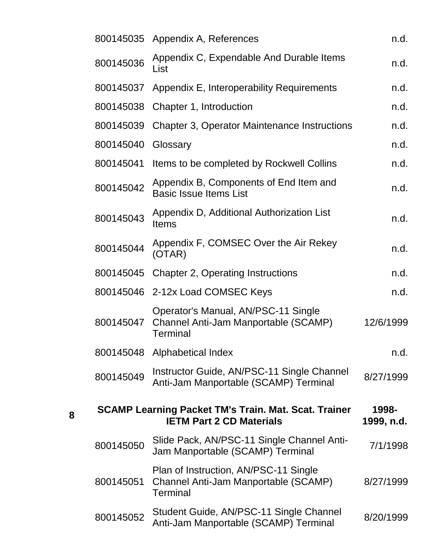|                                                                                                              |           | 800145035 Appendix A, References                                                               | n.d.      |
|--------------------------------------------------------------------------------------------------------------|-----------|------------------------------------------------------------------------------------------------|-----------|
|                                                                                                              | 800145036 | Appendix C, Expendable And Durable Items<br>List                                               | n.d.      |
|                                                                                                              | 800145037 | Appendix E, Interoperability Requirements                                                      | n.d.      |
|                                                                                                              | 800145038 | Chapter 1, Introduction                                                                        | n.d.      |
|                                                                                                              | 800145039 | <b>Chapter 3, Operator Maintenance Instructions</b>                                            | n.d.      |
|                                                                                                              | 800145040 | Glossary                                                                                       | n.d.      |
|                                                                                                              | 800145041 | Items to be completed by Rockwell Collins                                                      | n.d.      |
|                                                                                                              | 800145042 | Appendix B, Components of End Item and<br><b>Basic Issue Items List</b>                        | n.d.      |
|                                                                                                              | 800145043 | Appendix D, Additional Authorization List<br><b>Items</b>                                      | n.d.      |
|                                                                                                              | 800145044 | Appendix F, COMSEC Over the Air Rekey<br>(OTAR)                                                | n.d.      |
|                                                                                                              | 800145045 | <b>Chapter 2, Operating Instructions</b>                                                       | n.d.      |
|                                                                                                              |           | 800145046 2-12x Load COMSEC Keys                                                               | n.d.      |
|                                                                                                              | 800145047 | Operator's Manual, AN/PSC-11 Single<br>Channel Anti-Jam Manportable (SCAMP)<br><b>Terminal</b> | 12/6/1999 |
|                                                                                                              |           | 800145048 Alphabetical Index                                                                   | n.d.      |
|                                                                                                              | 800145049 | Instructor Guide, AN/PSC-11 Single Channel<br>Anti-Jam Manportable (SCAMP) Terminal            | 8/27/1999 |
| <b>SCAMP Learning Packet TM's Train. Mat. Scat. Trainer</b><br><b>IETM Part 2 CD Materials</b><br>1999, n.d. |           |                                                                                                |           |
|                                                                                                              | 800145050 | Slide Pack, AN/PSC-11 Single Channel Anti-<br>Jam Manportable (SCAMP) Terminal                 | 7/1/1998  |
|                                                                                                              | 800145051 | Plan of Instruction, AN/PSC-11 Single<br>Channel Anti-Jam Manportable (SCAMP)<br>Terminal      | 8/27/1999 |
|                                                                                                              | 800145052 | Student Guide, AN/PSC-11 Single Channel<br>Anti-Jam Manportable (SCAMP) Terminal               | 8/20/1999 |

**8**